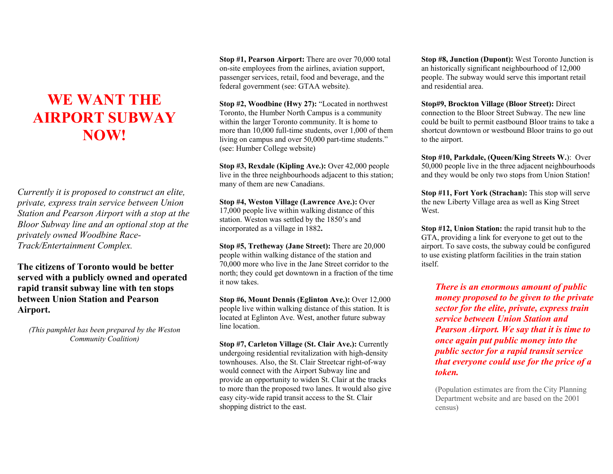## **WE WANT THE AIRPORT SUBWAY NOW!**

*Currently it is proposed to construct an elite, private, express train service between Union Station and Pearson Airport with a stop at the Bloor Subway line and an optional stop at the privately owned Woodbine Race-Track/Entertainment Complex.* 

**The citizens of Toronto would be better served with a publicly owned and operated rapid transit subway line with ten stops between Union Station and Pearson Airport.** 

*(This pamphlet has been prepared by the Weston Community Coalition)* 

**Stop #1, Pearson Airport:** There are over 70,000 total on-site employees from the airlines, aviation support, passenger services, retail, food and beverage, and the federal government (see: GTAA website).

**Stop #2, Woodbine (Hwy 27):** "Located in northwest Toronto, the Humber North Campus is a community within the larger Toronto community. It is home to more than 10,000 full-time students, over 1,000 of them living on campus and over 50,000 part-time students." (see: Humber College website)

**Stop #3, Rexdale (Kipling Ave.):** Over 42,000 people live in the three neighbourhoods adjacent to this station; many of them are new Canadians.

**Stop #4, Weston Village (Lawrence Ave.):** Over 17,000 people live within walking distance of this station. Weston was settled by the 1850's and incorporated as a village in 1882**.** 

**Stop #5, Tretheway (Jane Street):** There are 20,000 people within walking distance of the station and 70,000 more who live in the Jane Street corridor to the north; they could get downtown in a fraction of the time it now takes.

**Stop #6, Mount Dennis (Eglinton Ave.):** Over 12,000 people live within walking distance of this station. It is located at Eglinton Ave. West, another future subway line location.

**Stop #7, Carleton Village (St. Clair Ave.):** Currently undergoing residential revitalization with high-density townhouses. Also, the St. Clair Streetcar right-of-way would connect with the Airport Subway line and provide an opportunity to widen St. Clair at the tracks to more than the proposed two lanes. It would also give easy city-wide rapid transit access to the St. Clair shopping district to the east.

**Stop #8, Junction (Dupont):** West Toronto Junction is an historically significant neighbourhood of 12,000 people. The subway would serve this important retail and residential area.

**Stop#9, Brockton Village (Bloor Street):** Direct connection to the Bloor Street Subway. The new line could be built to permit eastbound Bloor trains to take a shortcut downtown or westbound Bloor trains to go out to the airport.

**Stop #10, Parkdale, (Queen/King Streets W.**): Over 50,000 people live in the three adjacent neighbourhoods and they would be only two stops from Union Station!

**Stop #11, Fort York (Strachan):** This stop will serve the new Liberty Village area as well as King Street **West**.

**Stop #12, Union Station:** the rapid transit hub to the GTA, providing a link for everyone to get out to the airport. To save costs, the subway could be configured to use existing platform facilities in the train station itself.

*There is an enormous amount of public money proposed to be given to the private sector for the elite, private, express train service between Union Station and Pearson Airport. We say that it is time to once again put public money into the public sector for a rapid transit service that everyone could use for the price of a token.*

(Population estimates are from the City Planning Department website and are based on the 2001 census)